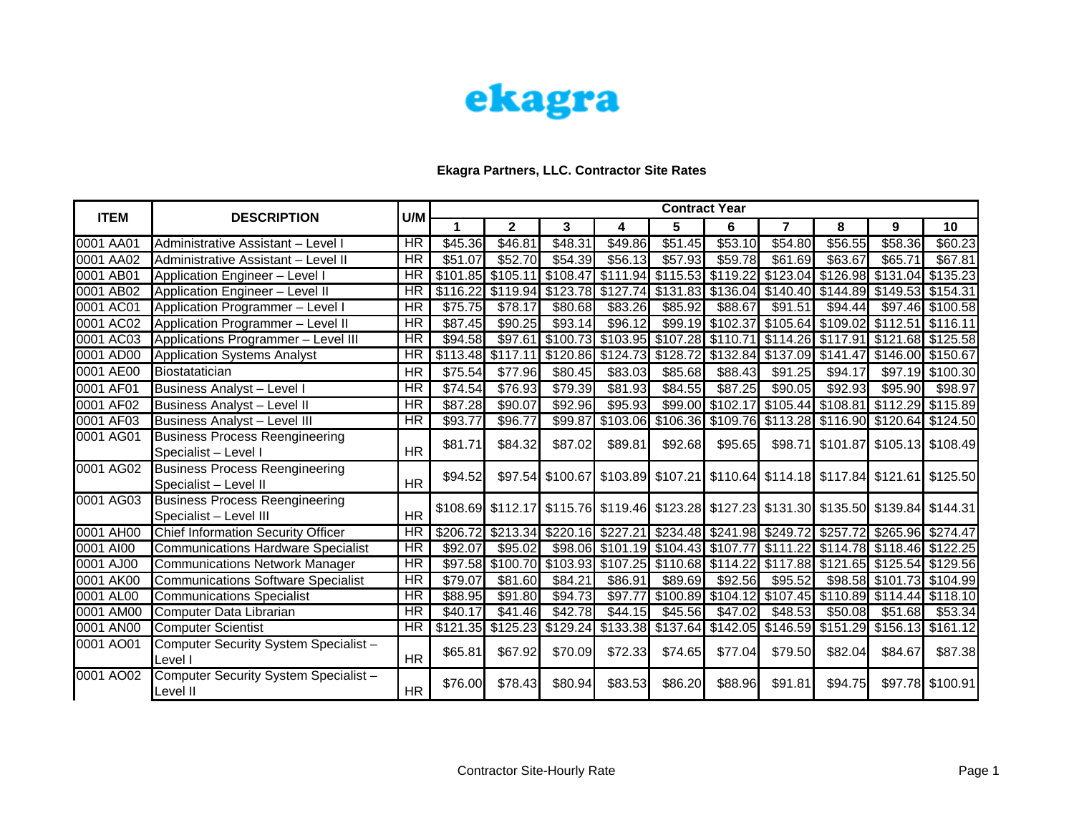

|             |                                                                 | U/M                    | <b>Contract Year</b> |              |                                                                                           |                     |                                                                         |                  |                                                    |                   |                                           |                  |  |
|-------------|-----------------------------------------------------------------|------------------------|----------------------|--------------|-------------------------------------------------------------------------------------------|---------------------|-------------------------------------------------------------------------|------------------|----------------------------------------------------|-------------------|-------------------------------------------|------------------|--|
| <b>ITEM</b> | <b>DESCRIPTION</b>                                              |                        | 1                    | $\mathbf{2}$ | 3                                                                                         | 4                   | 5                                                                       | 6                | 7                                                  | 8                 | 9                                         | 10               |  |
| 0001 AA01   | Administrative Assistant - Level I                              | <b>HR</b>              | \$45.36              | \$46.81      | \$48.31                                                                                   | \$49.86             | \$51.45                                                                 | \$53.10          | \$54.80                                            | \$56.55           | \$58.36                                   | \$60.23          |  |
| 0001 AA02   | Administrative Assistant - Level II                             | HR                     | \$51.07              | \$52.70      | \$54.39                                                                                   | \$56.13             | \$57.93                                                                 | \$59.78          | \$61.69                                            | \$63.67           | \$65.71                                   | \$67.81          |  |
| 0001 AB01   | Application Engineer - Level I                                  | $\overline{\text{HR}}$ | \$101.85             | \$105.11     |                                                                                           | $$108.47$ $$111.94$ | \$115.53                                                                | \$119.22         |                                                    | \$123.04 \$126.98 | \$131.04 \$135.23                         |                  |  |
| 0001 AB02   | Application Engineer - Level II                                 | HR                     | \$116.22             | \$119.94     |                                                                                           |                     | \$123.78 \$127.74 \$131.83 \$136.04 \$140.40 \$144.89                   |                  |                                                    |                   | \$149.53 \$154.31                         |                  |  |
| 0001 AC01   | Application Programmer - Level I                                | <b>HR</b>              | \$75.75              | \$78.17      | \$80.68                                                                                   | \$83.26             | \$85.92                                                                 | \$88.67          | \$91.51                                            | \$94.44           |                                           | \$97.46 \$100.58 |  |
| 0001 AC02   | Application Programmer - Level II                               | <b>HR</b>              | \$87.45              | \$90.25      | \$93.14                                                                                   | \$96.12             |                                                                         | \$99.19 \$102.37 |                                                    |                   | \$105.64 \$109.02 \$112.51 \$116.11       |                  |  |
| 0001 AC03   | Applications Programmer - Level III                             | <b>HR</b>              | \$94.58              |              | \$97.61 \$100.73 \$103.95 \$107.28 \$110.71 \$114.26 \$117.91                             |                     |                                                                         |                  |                                                    |                   | \$121.68 \$125.58                         |                  |  |
| 0001 AD00   | <b>Application Systems Analyst</b>                              | <b>HR</b>              | \$113.48             | \$117.11     |                                                                                           | \$120.86 \$124.73   |                                                                         |                  | \$128.72 \$132.84 \$137.09 \$141.47                |                   | \$146.00 \$150.67                         |                  |  |
| 0001 AE00   | Biostatatician                                                  | <b>HR</b>              | \$75.54              | \$77.96      | \$80.45                                                                                   | \$83.03             | \$85.68                                                                 | \$88.43          | \$91.25                                            | \$94.17           |                                           | \$97.19 \$100.30 |  |
| 0001 AF01   | <b>Business Analyst - Level I</b>                               | <b>HR</b>              | \$74.54              | \$76.93      | \$79.39                                                                                   | \$81.93             | \$84.55                                                                 | \$87.25          | \$90.05                                            | \$92.93           | \$95.90                                   | \$98.97          |  |
| 0001 AF02   | <b>Business Analyst - Level II</b>                              | <b>HR</b>              | \$87.28              | \$90.07      | \$92.96                                                                                   | \$95.93             | \$99.00                                                                 | \$102.17         | $\left  \frac{1}{2} \right  105.44$ \cdot \$108.81 |                   | $\sqrt{3112.29}$ \$115.89                 |                  |  |
| 0001 AF03   | <b>Business Analyst - Level III</b>                             | <b>HR</b>              | \$93.77              | \$96.77      |                                                                                           |                     | \$99.87 \$103.06 \$106.36 \$109.76 \$113.28 \$116.90 \$120.64 \$124.50  |                  |                                                    |                   |                                           |                  |  |
| 0001 AG01   | <b>Business Process Reengineering</b><br>Specialist - Level I   | <b>HR</b>              | \$81.71              | \$84.32      | \$87.02                                                                                   | \$89.81             | \$92.68                                                                 | \$95.65          |                                                    |                   | \$98.71 \$101.87 \$105.13 \$108.49        |                  |  |
| 0001 AG02   | <b>Business Process Reengineering</b><br>Specialist - Level II  | <b>HR</b>              | \$94.52              | \$97.54]     |                                                                                           |                     | \$100.67 \$103.89 \$107.21 \$110.64 \$114.18 \$117.84 \$121.61 \$125.50 |                  |                                                    |                   |                                           |                  |  |
| 0001 AG03   | <b>Business Process Reengineering</b><br>Specialist - Level III | <b>HR</b>              |                      |              | \$108.69 \$112.17 \$115.76 \$119.46 \$123.28 \$127.23 \$131.30 \$135.50 \$139.84 \$144.31 |                     |                                                                         |                  |                                                    |                   |                                           |                  |  |
| 0001 AH00   | Chief Information Security Officer                              | <b>HR</b>              | \$206.72             | \$213.34     |                                                                                           |                     | \$220.16 \$227.21 \$234.48 \$241.98 \$249.72 \$257.72 \$265.96 \$274.47 |                  |                                                    |                   |                                           |                  |  |
| 0001 AI00   | <b>Communications Hardware Specialist</b>                       | <b>HR</b>              | \$92.07              | \$95.02      |                                                                                           |                     | \$98.06 \$101.19 \$104.43 \$107.77                                      |                  |                                                    |                   | \$111.22   \$114.78   \$118.46   \$122.25 |                  |  |
| 0001 AJ00   | <b>Communications Network Manager</b>                           | <b>HR</b>              | \$97.58              | \$100.70     |                                                                                           |                     | \$103.93 \$107.25 \$110.68 \$114.22                                     |                  |                                                    |                   | \$117.88 \$121.65 \$125.54 \$129.56       |                  |  |
| 0001 AK00   | <b>Communications Software Specialist</b>                       | $\overline{\text{HR}}$ | \$79.07              | \$81.60      | \$84.21                                                                                   | \$86.91             | \$89.69                                                                 | \$92.56          | \$95.52                                            |                   | \$98.58 \$101.73 \$104.99                 |                  |  |
| 0001 AL00   | <b>Communications Specialist</b>                                | HR                     | \$88.95              | \$91.80      | \$94.73                                                                                   | \$97.77             |                                                                         |                  | \$100.89 \$104.12 \$107.45                         |                   | \$110.89 \$114.44 \$118.10                |                  |  |
| 0001 AM00   | Computer Data Librarian                                         | $\overline{\text{HR}}$ | \$40.17              | \$41.46      | \$42.78                                                                                   | \$44.15             | \$45.56                                                                 | \$47.02          | \$48.53                                            | \$50.08           | \$51.68                                   | \$53.34          |  |
| 0001 AN00   | <b>Computer Scientist</b>                                       | HR                     | $\overline{$}121.35$ |              | \$125.23 \$129.24 \$133.38 \$137.64 \$142.05 \$146.59 \$151.29 \$156.13 \$161.12          |                     |                                                                         |                  |                                                    |                   |                                           |                  |  |
| 0001 AO01   | Computer Security System Specialist -<br>Level I                | <b>HR</b>              | \$65.81              | \$67.92      | \$70.09                                                                                   | \$72.33             | \$74.65                                                                 | \$77.04]         | \$79.50                                            | \$82.04           | \$84.67                                   | \$87.38          |  |
| 0001 AO02   | Computer Security System Specialist -<br>Level II               | HR                     | \$76.00              | \$78.43      | \$80.94                                                                                   | \$83.53             | \$86.20                                                                 | \$88.96          | \$91.81                                            | \$94.75           |                                           | \$97.78 \$100.91 |  |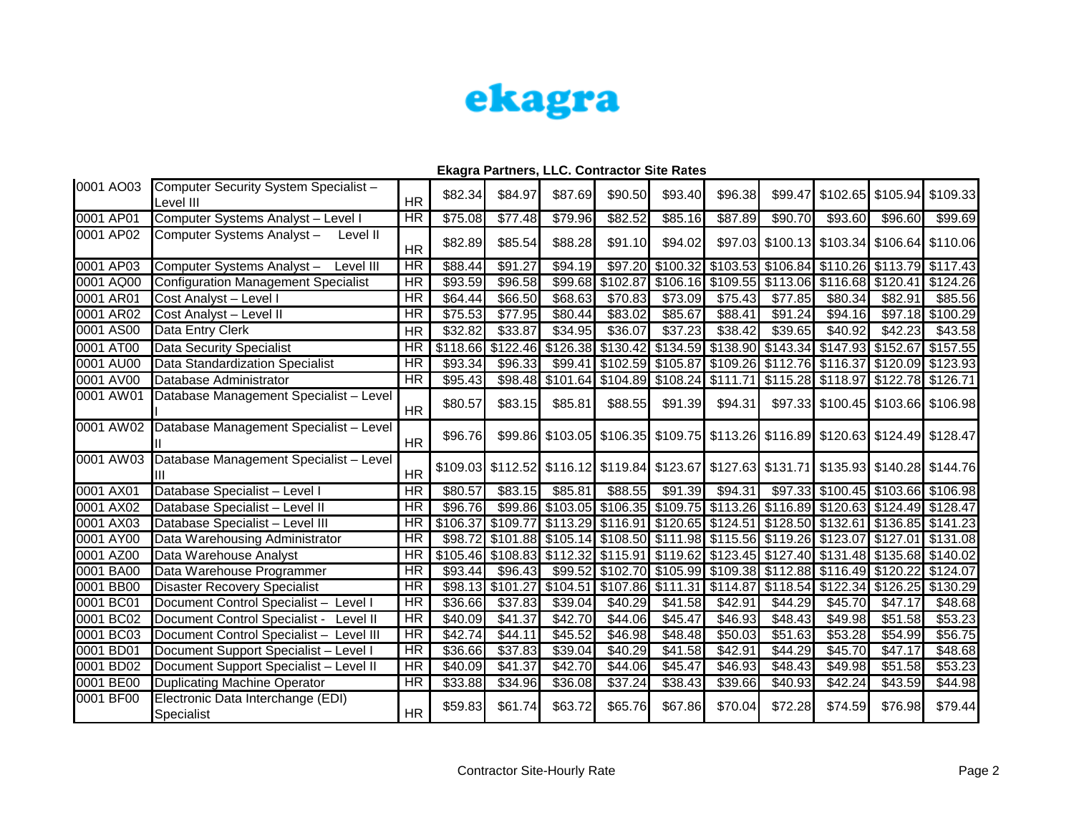

| 0001 AO03 | Computer Security System Specialist -<br>Level III | <b>HR</b>                | \$82.34  | \$84.97  | \$87.69                                                        | \$90.50 | \$93.40           | \$96.38                                              |          | \$99.47 \$102.65 \$105.94 \$109.33                                                        |                            |                     |
|-----------|----------------------------------------------------|--------------------------|----------|----------|----------------------------------------------------------------|---------|-------------------|------------------------------------------------------|----------|-------------------------------------------------------------------------------------------|----------------------------|---------------------|
| 0001 AP01 | Computer Systems Analyst - Level I                 | $\overline{\text{HR}}$   | \$75.08  | \$77.48  | \$79.96                                                        | \$82.52 | \$85.16           | \$87.89                                              | \$90.70  | \$93.60                                                                                   | \$96.60                    | \$99.69             |
| 0001 AP02 | Computer Systems Analyst-<br>Level II              | <b>HR</b>                | \$82.89  | \$85.54  | \$88.28                                                        | \$91.10 | \$94.02           |                                                      |          | \$97.03 \$100.13 \$103.34 \$106.64 \$110.06                                               |                            |                     |
| 0001 AP03 | Computer Systems Analyst-<br>Level III             | <b>HR</b>                | \$88.44  | \$91.27  | \$94.19                                                        |         |                   |                                                      |          | \$97.20 \$100.32 \$103.53 \$106.84 \$110.26 \$113.79 \$117.43                             |                            |                     |
| 0001 AQ00 | <b>Configuration Management Specialist</b>         | $\overline{\text{HR}}$   | \$93.59  | \$96.58  | \$99.68                                                        |         |                   |                                                      |          | \$102.87 \$106.16 \$109.55 \$113.06 \$116.68 \$120.41 \$124.26                            |                            |                     |
| 0001 AR01 | Cost Analyst - Level I                             | <b>HR</b>                | \$64.44  | \$66.50  | \$68.63                                                        | \$70.83 | \$73.09           | \$75.43                                              | \$77.85  | \$80.34]                                                                                  | \$82.91                    | \$85.56             |
| 0001 AR02 | Cost Analyst - Level II                            | $\overline{\text{HR}}$   | \$75.53  | \$77.95  | \$80.44                                                        | \$83.02 | \$85.67           | \$88.41                                              | \$91.24  | \$94.16                                                                                   |                            | \$97.18 \$100.29    |
| 0001 AS00 | Data Entry Clerk                                   | <b>HR</b>                | \$32.82  | \$33.87  | \$34.95                                                        | \$36.07 | \$37.23           | \$38.42                                              | \$39.65  | \$40.92                                                                                   | \$42.23                    | \$43.58             |
| 0001 AT00 | <b>Data Security Specialist</b>                    | <b>HR</b>                | \$118.66 |          |                                                                |         |                   |                                                      |          | \$122.46 \$126.38 \$130.42 \$134.59 \$138.90 \$143.34 \$147.93 \$152.67 \$157.55          |                            |                     |
| 0001 AU00 | Data Standardization Specialist                    | <b>HR</b>                | \$93.34  | \$96.33  |                                                                |         |                   | \$99.41 \$102.59 \$105.87 \$109.26 \$112.76 \$116.37 |          |                                                                                           | \$120.09 \$123.93          |                     |
| 0001 AV00 | Database Administrator                             | <b>HR</b>                | \$95.43  |          | \$98.48 \$101.64 \$104.89 \$108.24 \$111.71                    |         |                   |                                                      |          | \$115.28 \$118.97 \$122.78 \$126.71                                                       |                            |                     |
| 0001 AW01 | Database Management Specialist - Level             | HR                       | \$80.57  | \$83.15  | \$85.81                                                        | \$88.55 | \$91.39           | \$94.31                                              |          | \$97.33 \$100.45 \$103.66 \$106.98                                                        |                            |                     |
| 0001 AW02 | Database Management Specialist - Level             | <b>HR</b>                | \$96.76  |          |                                                                |         |                   |                                                      |          | \$99.86 \$103.05 \$106.35 \$109.75 \$113.26 \$116.89 \$120.63 \$124.49 \$128.47           |                            |                     |
| 0001 AW03 | Database Management Specialist - Level             | <b>HR</b>                |          |          |                                                                |         |                   |                                                      |          | \$109.03 \$112.52 \$116.12 \$119.84 \$123.67 \$127.63 \$131.71 \$135.93 \$140.28 \$144.76 |                            |                     |
| 0001 AX01 | Database Specialist - Level I                      | $\overline{\mathsf{HR}}$ | \$80.57  | \$83.15  | \$85.81                                                        | \$88.55 | \$91.39           | \$94.31                                              |          | \$97.33 \$100.45 \$103.66 \$106.98                                                        |                            |                     |
| 0001 AX02 | Database Specialist - Level II                     | <b>HR</b>                | \$96.76  |          |                                                                |         |                   |                                                      |          | \$99.86 \$103.05 \$106.35 \$109.75 \$113.26 \$116.89 \$120.63 \$124.49 \$128.47           |                            |                     |
| 0001 AX03 | Database Specialist - Level III                    | $\overline{\text{HR}}$   |          |          |                                                                |         |                   |                                                      |          | \$106.37 \$109.77 \$113.29 \$116.91 \$120.65 \$124.51 \$128.50 \$132.61 \$136.85 \$141.23 |                            |                     |
| 0001 AY00 | Data Warehousing Administrator                     | <b>HR</b>                | \$98.72  |          | \$101.88 \$105.14 \$108.50 \$111.98 \$115.56 \$119.26 \$123.07 |         |                   |                                                      |          |                                                                                           | \$127.01 \$131.08          |                     |
| 0001 AZ00 | Data Warehouse Analyst                             | <b>HR</b>                |          |          |                                                                |         |                   |                                                      |          | \$105.46 \$108.83 \$112.32 \$115.91 \$119.62 \$123.45 \$127.40 \$131.48 \$135.68 \$140.02 |                            |                     |
| 0001 BA00 | Data Warehouse Programmer                          | $\overline{\text{HR}}$   | \$93.44  | \$96.43  |                                                                |         |                   |                                                      |          | \$99.52 \$102.70 \$105.99 \$109.38 \$112.88 \$116.49 \$120.22 \$124.07                    |                            |                     |
| 0001 BB00 | <b>Disaster Recovery Specialist</b>                | <b>HR</b>                | \$98.13] | \$101.27 | \$104.51                                                       |         | \$107.86 \$111.31 | \$114.87                                             | \$118.54 |                                                                                           | \$122.34 \$126.25 \$130.29 |                     |
| 0001 BC01 | Document Control Specialist - Level I              | $\overline{\text{HR}}$   | \$36.66  | \$37.83  | \$39.04                                                        | \$40.29 | \$41.58           | \$42.91                                              | \$44.29  | \$45.70                                                                                   | \$47.17                    | \$48.68             |
| 0001 BC02 | Document Control Specialist -<br>Level II          | $\overline{\text{HR}}$   | \$40.09  | \$41.37  | \$42.70                                                        | \$44.06 | \$45.47           | \$46.93                                              | \$48.43  | \$49.98                                                                                   | \$51.58                    | $\overline{$}53.23$ |
| 0001 BC03 | Document Control Specialist -<br>Level III         | $\overline{HR}$          | \$42.74  | \$44.11  | \$45.52                                                        | \$46.98 | \$48.48           | \$50.03                                              | \$51.63  | \$53.28                                                                                   | \$54.99                    | \$56.75             |
| 0001 BD01 | Document Support Specialist - Level I              | HR                       | \$36.66  | \$37.83  | \$39.04                                                        | \$40.29 | \$41.58           | \$42.91                                              | \$44.29  | \$45.70                                                                                   | \$47.17                    | \$48.68             |
| 0001 BD02 | Document Support Specialist - Level II             | $\overline{\text{HR}}$   | \$40.09  | \$41.37  | \$42.70                                                        | \$44.06 | \$45.47           | \$46.93                                              | \$48.43  | \$49.98                                                                                   | \$51.58                    | \$53.23             |
| 0001 BE00 | <b>Duplicating Machine Operator</b>                | <b>HR</b>                | \$33.88  | \$34.96  | \$36.08                                                        | \$37.24 | \$38.43           | \$39.66                                              | \$40.93  | \$42.24]                                                                                  | \$43.59                    | \$44.98             |
| 0001 BF00 | Electronic Data Interchange (EDI)<br>Specialist    | HR                       | \$59.83  | \$61.74  | \$63.72                                                        | \$65.76 | \$67.86           | \$70.04                                              | \$72.28  | \$74.59                                                                                   | \$76.98                    | \$79.44             |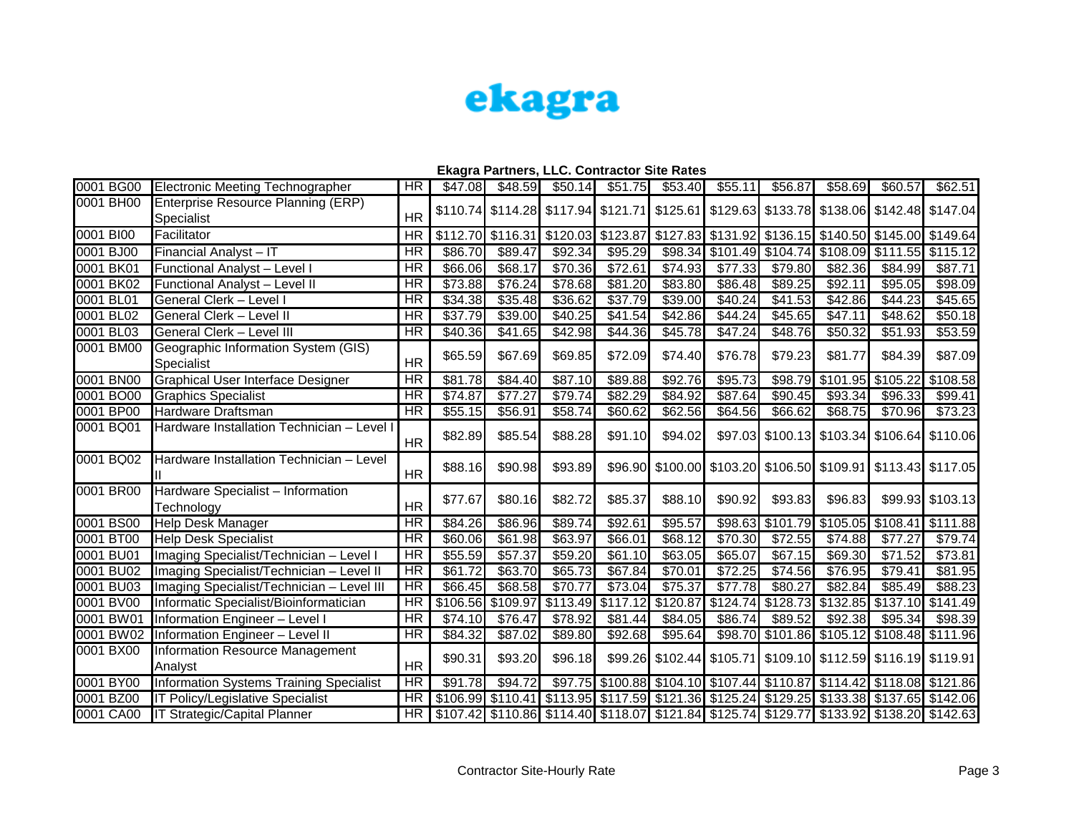

| 0001 BG00 | Electronic Meeting Technographer                  | <b>HR</b>                | \$47.08             | \$48.59  | \$50.14 | \$51.75  | \$53.40             | \$55.11  | \$56.87 | \$58.69             | \$60.57                                                                                   | \$62.51             |
|-----------|---------------------------------------------------|--------------------------|---------------------|----------|---------|----------|---------------------|----------|---------|---------------------|-------------------------------------------------------------------------------------------|---------------------|
| 0001 BH00 | Enterprise Resource Planning (ERP)<br>Specialist  | <b>HR</b>                |                     |          |         |          |                     |          |         |                     | \$110.74 \$114.28 \$117.94 \$121.71 \$125.61 \$129.63 \$133.78 \$138.06 \$142.48 \$147.04 |                     |
| 0001 BIOO | Facilitator                                       | <b>HR</b>                |                     |          |         |          |                     |          |         |                     | \$112.70 \$116.31 \$120.03 \$123.87 \$127.83 \$131.92 \$136.15 \$140.50 \$145.00 \$149.64 |                     |
| 0001 BJ00 | Financial Analyst - IT                            | $\overline{\text{HR}}$   | \$86.70             | \$89.47  | \$92.34 | \$95.29  | \$98.34             |          |         |                     | \$101.49 \$104.74 \$108.09 \$111.55 \$115.12                                              |                     |
| 0001 BK01 | Functional Analyst - Level I                      | HR                       | \$66.06             | \$68.17  | \$70.36 | \$72.61  | \$74.93             | \$77.33  | \$79.80 | \$82.36             | \$84.99                                                                                   | \$87.71             |
| 0001 BK02 | Functional Analyst - Level II                     | $\overline{\mathsf{HR}}$ | \$73.88             | \$76.24  | \$78.68 | \$81.20  | \$83.80             | \$86.48  | \$89.25 | \$92.11             | \$95.05                                                                                   | \$98.09             |
| 0001 BL01 | <b>General Clerk - Level I</b>                    | $\overline{\text{HR}}$   | \$34.38             | \$35.48  | \$36.62 | \$37.79  | \$39.00             | \$40.24  | \$41.53 | \$42.86             | $\sqrt{$44.23}$                                                                           | 345.65              |
| 0001 BL02 | <b>General Clerk - Level II</b>                   | $\overline{\mathsf{HR}}$ | \$37.79             | \$39.00  | \$40.25 | \$41.54  | \$42.86             | \$44.24  | \$45.65 | \$47.11             | \$48.62                                                                                   | \$50.18             |
| 0001 BL03 | General Clerk - Level III                         | <b>HR</b>                | \$40.36             | \$41.65  | \$42.98 | \$44.36  | \$45.78             | \$47.24  | \$48.76 | \$50.32             | \$51.93                                                                                   | \$53.59             |
| 0001 BM00 | Geographic Information System (GIS)<br>Specialist | <b>HR</b>                | \$65.59             | \$67.69  | \$69.85 | \$72.09  | \$74.40             | \$76.78  | \$79.23 | \$81.77             | \$84.39                                                                                   | \$87.09             |
| 0001 BN00 | <b>Graphical User Interface Designer</b>          | $\overline{\text{HR}}$   | \$81.78             | \$84.40  | \$87.10 | \$89.88  | \$92.76             | \$95.73  | \$98.79 | \$101.95            | \$105.22                                                                                  | \$108.58            |
| 0001 BO00 | <b>Graphics Specialist</b>                        | $\overline{\text{HR}}$   | \$74.87             | \$77.27  | \$79.74 | \$82.29  | \$84.92             | \$87.64  | \$90.45 | \$93.34             | \$96.33                                                                                   | \$99.41             |
| 0001 BP00 | Hardware Draftsman                                | <b>HR</b>                | \$55.15             | \$56.91  | \$58.74 | \$60.62  | \$62.56             | \$64.56  | \$66.62 | \$68.75             | \$70.96                                                                                   | \$73.23             |
| 0001 BQ01 | Hardware Installation Technician - Level I        | <b>HR</b>                | \$82.89             | \$85.54  | \$88.28 | \$91.10  | \$94.02             |          |         |                     | \$97.03 \$100.13 \$103.34 \$106.64 \$110.06                                               |                     |
| 0001 BQ02 | Hardware Installation Technician - Level          | <b>HR</b>                | \$88.16             | \$90.98  | \$93.89 |          |                     |          |         |                     | \$96.90 \$100.00 \$103.20 \$106.50 \$109.91 \$113.43 \$117.05                             |                     |
| 0001 BR00 | Hardware Specialist - Information<br>Technology   | <b>HR</b>                | \$77.67             | \$80.16  | \$82.72 | \$85.37  | \$88.10             | \$90.92  | \$93.83 | \$96.83             |                                                                                           | \$99.93 \$103.13    |
| 0001 BS00 | <b>Help Desk Manager</b>                          | <b>HR</b>                | \$84.26             | \$86.96  | \$89.74 | \$92.61  | \$95.57             | \$98.63  |         |                     | \$101.79 \$105.05 \$108.41 \$111.88                                                       |                     |
| 0001 BT00 | <b>Help Desk Specialist</b>                       | HR                       | \$60.06             | \$61.98  | \$63.97 | \$66.01  | \$68.12             | \$70.30  | \$72.55 | $\overline{$74.88}$ | \$77.27                                                                                   | \$79.74             |
| 0001 BU01 | Imaging Specialist/Technician - Level I           | HR                       | \$55.59             | \$57.37  | \$59.20 | \$61.10  | \$63.05             | \$65.07  | \$67.15 | \$69.30             | \$71.52                                                                                   | \$73.81             |
| 0001 BU02 | Imaging Specialist/Technician - Level II          | $\overline{\text{HR}}$   | $\overline{$61.72}$ | \$63.70  | \$65.73 | \$67.84  | $\overline{$70.01}$ | \$72.25  | \$74.56 | \$76.95             | \$79.41                                                                                   | 381.95              |
| 0001 BU03 | Imaging Specialist/Technician - Level III         | $\overline{\mathsf{HR}}$ | \$66.45             | \$68.58  | \$70.77 | \$73.04  | \$75.37             | \$77.78  | \$80.27 | \$82.84             | $\overline{$85.49}$                                                                       | $\overline{$88.23}$ |
| 0001 BV00 | Informatic Specialist/Bioinformatician            | HR                       | \$106.56            | \$109.97 | 5113.49 | \$117.12 | \$120.87            | \$124.74 |         |                     | \$128.73 \$132.85 \$137.10 \$141.49                                                       |                     |
| 0001 BW01 | Information Engineer - Level I                    | $\overline{\text{HR}}$   | \$74.10             | \$76.47  | \$78.92 | \$81.44  | \$84.05             | \$86.74  | \$89.52 | \$92.38             | \$95.34                                                                                   | \$98.39             |
| 0001 BW02 | Information Engineer - Level II                   | $\overline{\mathsf{HR}}$ | \$84.32             | \$87.02  | \$89.80 | \$92.68  | \$95.64             |          |         |                     | \$98.70 \$101.86 \$105.12 \$108.48 \$111.96                                               |                     |
| 0001 BX00 | Information Resource Management<br>Analyst        | <b>HR</b>                | \$90.31             | \$93.20  | \$96.18 |          |                     |          |         |                     | \$99.26 \$102.44 \$105.71 \$109.10 \$112.59 \$116.19 \$119.91                             |                     |
| 0001 BY00 | Information Systems Training Specialist           | $\overline{\mathsf{HR}}$ | \$91.78             | \$94.72  |         |          |                     |          |         |                     | \$97.75 \$100.88 \$104.10 \$107.44 \$110.87 \$114.42 \$118.08 \$121.86                    |                     |
| 0001 BZ00 | IT Policy/Legislative Specialist                  | <b>HR</b>                |                     |          |         |          |                     |          |         |                     | \$106.99 \$110.41 \$113.95 \$117.59 \$121.36 \$125.24 \$129.25 \$133.38 \$137.65 \$142.06 |                     |
| 0001 CA00 | IT Strategic/Capital Planner                      | HR                       |                     |          |         |          |                     |          |         |                     | \$107.42 \$110.86 \$114.40 \$118.07 \$121.84 \$125.74 \$129.77 \$133.92 \$138.20 \$142.63 |                     |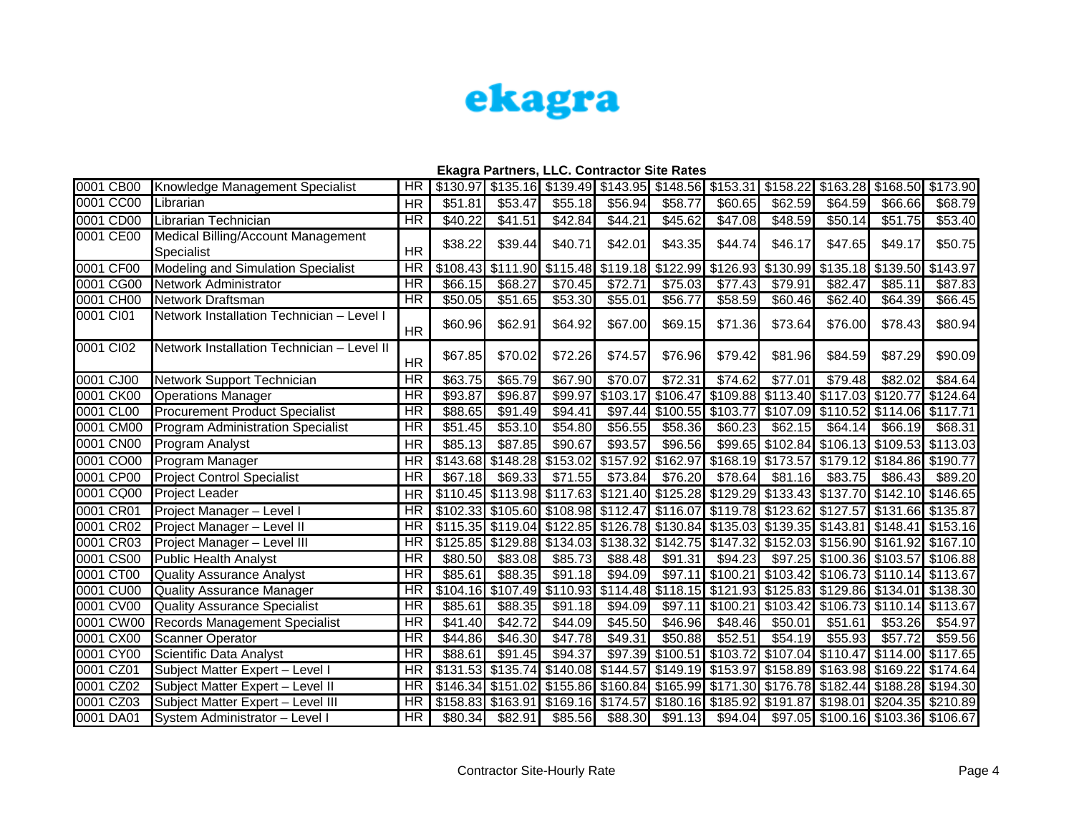

| 0001 CB00 | Knowledge Management Specialist                  | HR                       |                     |          |                                     |          | \$130.97 \$135.16 \$139.49 \$143.95 \$148.56 \$153.31                   |                   | \$158.22          |                                                                                           | \$163.28 \$168.50 \$173.90 |          |
|-----------|--------------------------------------------------|--------------------------|---------------------|----------|-------------------------------------|----------|-------------------------------------------------------------------------|-------------------|-------------------|-------------------------------------------------------------------------------------------|----------------------------|----------|
| 0001 CC00 | Librarian                                        | <b>HR</b>                | \$51.81             | \$53.47  | \$55.18                             | \$56.94  | \$58.77                                                                 | \$60.65           | \$62.59           | \$64.59                                                                                   | \$66.66                    | \$68.79  |
| 0001 CD00 | Librarian Technician                             | HR                       | \$40.22             | \$41.51  | \$42.84                             | \$44.21  | \$45.62                                                                 | \$47.08           | \$48.59           | \$50.14                                                                                   | \$51.75                    | \$53.40  |
| 0001 CE00 | Medical Billing/Account Management<br>Specialist | <b>HR</b>                | \$38.22             | \$39.44] | \$40.71                             | \$42.01  | \$43.35                                                                 | \$44.74           | \$46.17           | \$47.65                                                                                   | \$49.17                    | \$50.75  |
| 0001 CF00 | Modeling and Simulation Specialist               | $\overline{\text{HR}}$   | \$108.43            |          | $$111.90$ $$115.48$                 |          | \$119.18 \$122.99                                                       |                   |                   | \$126.93 \$130.99 \$135.18 \$139.50 \$143.97                                              |                            |          |
| 0001 CG00 | Network Administrator                            | $\overline{\text{HR}}$   | \$66.15             | \$68.27  | \$70.45                             | \$72.71  | \$75.03                                                                 | \$77.43           | \$79.91           | \$82.47                                                                                   | \$85.11                    | \$87.83  |
| 0001 CH00 | Network Draftsman                                | HR                       | \$50.05             | \$51.65  | \$53.30                             | \$55.01  | \$56.77                                                                 | \$58.59           | \$60.46           | \$62.40                                                                                   | 364.39                     | \$66.45  |
| 0001 CI01 | Network Installation Technician - Level I        | <b>HR</b>                | \$60.96             | \$62.91  | \$64.92                             | \$67.00  | \$69.15                                                                 | \$71.36           | \$73.64           | \$76.00                                                                                   | \$78.43                    | \$80.94  |
| 0001 CI02 | Network Installation Technician - Level II       | <b>HR</b>                | \$67.85             | \$70.02  | \$72.26                             | \$74.57  | \$76.96                                                                 | \$79.42           | \$81.96           | \$84.59                                                                                   | \$87.29                    | \$90.09  |
| 0001 CJ00 | Network Support Technician                       | $\overline{\text{HR}}$   | \$63.75             | \$65.79  | \$67.90                             | \$70.07  | \$72.31                                                                 | \$74.62           | \$77.01           | \$79.48                                                                                   | \$82.02                    | \$84.64  |
| 0001 CK00 | <b>Operations Manager</b>                        | $\overline{\text{HR}}$   | \$93.87             | \$96.87  | \$99.97                             | \$103.17 |                                                                         |                   |                   | \$106.47 \$109.88 \$113.40 \$117.03 \$120.77 \$124.64                                     |                            |          |
| 0001 CL00 | <b>Procurement Product Specialist</b>            | <b>HR</b>                | \$88.65             | \$91.49  | \$94.41                             | \$97.44  | \$100.55                                                                | \$103.77          |                   | \$107.09 \$110.52 \$114.06                                                                |                            | \$117.71 |
| 0001 CM00 | <b>Program Administration Specialist</b>         | <b>HR</b>                | \$51.45             | \$53.10  | \$54.80                             | \$56.55  | \$58.36                                                                 | \$60.23           | \$62.15           | \$64.14                                                                                   | \$66.19                    | \$68.31  |
| 0001 CN00 | Program Analyst                                  | <b>HR</b>                | \$85.13             | \$87.85  | \$90.67                             | \$93.57  | \$96.56                                                                 | \$99.65           |                   | \$102.84  \$106.13  \$109.53  \$113.03                                                    |                            |          |
| 0001 CO00 | Program Manager                                  | <b>HR</b>                | \$143.68            |          | \$148.28 \$153.02 \$157.92 \$162.97 |          |                                                                         |                   | \$168.19 \$173.57 |                                                                                           | \$179.12 \$184.86 \$190.77 |          |
| 0001 CP00 | <b>Project Control Specialist</b>                | <b>HR</b>                | \$67.18             | \$69.33  | \$71.55                             | \$73.84  | $\overline{$}76.20$                                                     | \$78.64           | \$81.16           | \$83.75                                                                                   | \$86.43                    | \$89.20  |
| 0001 CQ00 | Project Leader                                   | <b>HR</b>                | \$110.45            |          |                                     |          |                                                                         |                   |                   | \$113.98 \$117.63 \$121.40 \$125.28 \$129.29 \$133.43 \$137.70 \$142.10 \$146.65          |                            |          |
| 0001 CR01 | Project Manager - Level I                        | HR                       |                     |          |                                     |          | \$102.33 \$105.60 \$108.98 \$112.47 \$116.07 \$119.78 \$123.62 \$127.57 |                   |                   |                                                                                           | \$131.66 \$135.87          |          |
| 0001 CR02 | Project Manager - Level II                       | <b>HR</b>                |                     |          |                                     |          |                                                                         |                   |                   | \$115.35 \$119.04 \$122.85 \$126.78 \$130.84 \$135.03 \$139.35 \$143.81 \$148.41 \$153.16 |                            |          |
| 0001 CR03 | Project Manager - Level III                      | HR                       | \$125.85            |          |                                     |          | \$129.88 \$134.03 \$138.32 \$142.75 \$147.32                            |                   |                   | \$152.03   \$156.90   \$161.92   \$167.10                                                 |                            |          |
| 0001 CS00 | <b>Public Health Analyst</b>                     | <b>HR</b>                | \$80.50             | \$83.08  | \$85.73                             | \$88.48  | \$91.31                                                                 | \$94.23           | \$97.25           |                                                                                           | \$100.36 \$103.57 \$106.88 |          |
| 0001 CT00 | <b>Quality Assurance Analyst</b>                 | <b>HR</b>                | \$85.61             | \$88.35  | \$91.18                             | \$94.09  |                                                                         | \$97.11 \$100.21  | \$103.42          |                                                                                           | \$106.73 \$110.14 \$113.67 |          |
| 0001 CU00 | <b>Quality Assurance Manager</b>                 | <b>HR</b>                | \$104.16            |          |                                     |          |                                                                         |                   |                   | \$107.49 \$110.93 \$114.48 \$118.15 \$121.93 \$125.83 \$129.86 \$134.01 \$138.30          |                            |          |
| 0001 CV00 | <b>Quality Assurance Specialist</b>              | <b>HR</b>                | \$85.61             | \$88.35  | \$91.18                             | \$94.09  | \$97.11                                                                 | \$100.21          |                   | \$103.42 \$106.73 \$110.14 \$113.67                                                       |                            |          |
| 0001 CW00 | Records Management Specialist                    | $\overline{\text{HR}}$   | \$41.40             | \$42.72  | \$44.09                             | \$45.50  | \$46.96                                                                 | \$48.46           | \$50.01           | \$51.61                                                                                   | \$53.26                    | \$54.97  |
| 0001 CX00 | <b>Scanner Operator</b>                          | $\overline{\mathsf{HR}}$ | $\overline{$44.86}$ | \$46.30  | \$47.78                             | \$49.31  | \$50.88                                                                 | \$52.51           | \$54.19           | \$55.93                                                                                   | \$57.72                    | \$59.56  |
| 0001 CY00 | Scientific Data Analyst                          | <b>HR</b>                | \$88.61             | \$91.45  | \$94.37                             | \$97.39  | \$100.51 \$103.72                                                       |                   |                   | \$107.04 \$110.47                                                                         | \$114.00 \$117.65          |          |
| 0001 CZ01 | Subject Matter Expert - Level I                  | <b>HR</b>                | \$131.53            |          |                                     |          | \$135.74 \$140.08 \$144.57 \$149.19 \$153.97                            |                   |                   | \$158.89 \$163.98 \$169.22 \$174.64                                                       |                            |          |
| 0001 CZ02 | Subject Matter Expert - Level II                 | HR                       | \$146.34            |          |                                     |          |                                                                         |                   |                   | \$151.02 \$155.86 \$160.84 \$165.99 \$171.30 \$176.78 \$182.44 \$188.28 \$194.30          |                            |          |
| 0001 CZ03 | Subject Matter Expert - Level III                | $\overline{\text{HR}}$   | \$158.83            |          |                                     |          | \$163.91 \$169.16 \$174.57 \$180.16 \$185.92                            |                   |                   | \$191.87 \$198.01 \$204.35 \$210.89                                                       |                            |          |
| 0001 DA01 | System Administrator - Level I                   | <b>HR</b>                | \$80.34]            | \$82.91] | \$85.56                             | \$88.30  |                                                                         | $$91.13$ $$94.04$ |                   | \$97.05 \$100.16 \$103.36 \$106.67                                                        |                            |          |